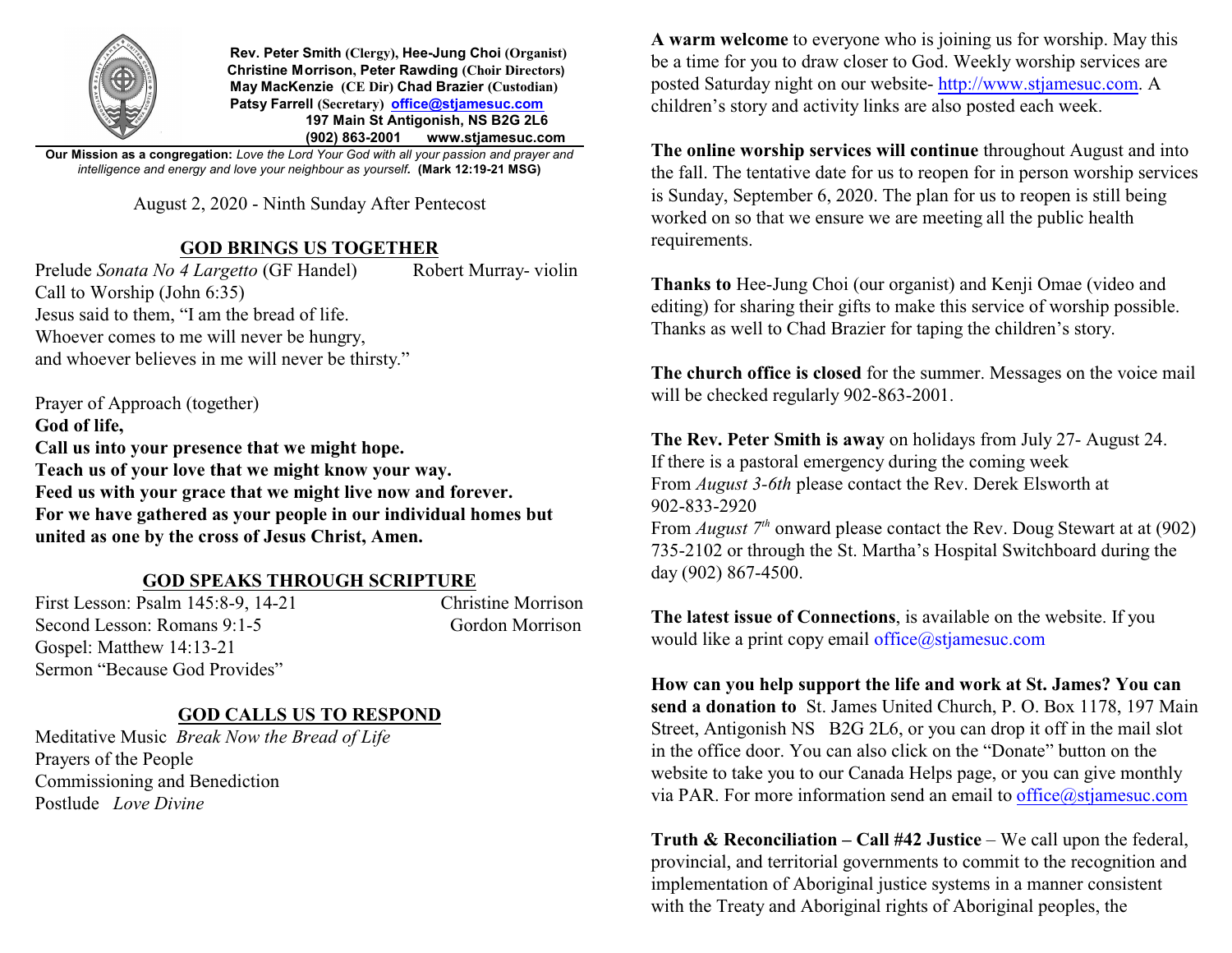

 **Rev. Peter Smith (Clergy), Hee-Jung Choi (Organist) Christine Morrison, Peter Rawding (Choir Directors) May MacKenzie (CE Dir) Chad Brazier (Custodian) Patsy Farrell (Secretary) [office@stjamesuc.com](mailto:office@stjamesuc.com) 197 Main St Antigonish, NS B2G 2L6 (902) 863-2001 [www.stjamesuc.com](http://www.stjamesuc.com)**

**Our Mission as a congregation:** *Love the Lord Your God with all your passion and prayer and intelligence and energy and love your neighbour as yourself.* **(Mark 12:19-21 MSG)**

August 2, 2020 - Ninth Sunday After Pentecost

## **GOD BRINGS US TOGETHER**

Prelude *Sonata No 4 Largetto* (GF Handel) Robert Murray- violin Call to Worship (John 6:35) Jesus said to them, "I am the bread of life. Whoever comes to me will never be hungry, and whoever believes in me will never be thirsty."

Prayer of Approach (together) **God of life, Call us into your presence that we might hope. Teach us of your love that we might know your way. Feed us with your grace that we might live now and forever. For we have gathered as your people in our individual homes but united as one by the cross of Jesus Christ, Amen.**

## **GOD SPEAKS THROUGH SCRIPTURE**

First Lesson: Psalm 145:8-9, 14-21 Christine Morrison Second Lesson: Romans 9:1-5 Gordon Morrison Gospel: Matthew 14:13-21 Sermon "Because God Provides"

## **GOD CALLS US TO RESPOND**

Meditative Music *Break Now the Bread of Life* Prayers of the People Commissioning and Benediction Postlude *Love Divine*

**A warm welcome** to everyone who is joining us for worship. May this be a time for you to draw closer to God. Weekly worship services are posted Saturday night on our website-<http://www.stjamesuc.com>. A children's story and activity links are also posted each week.

**The online worship services will continue** throughout August and into the fall. The tentative date for us to reopen for in person worship services is Sunday, September 6, 2020. The plan for us to reopen is still being worked on so that we ensure we are meeting all the public health requirements.

**Thanks to** Hee-Jung Choi (our organist) and Kenji Omae (video and editing) for sharing their gifts to make this service of worship possible. Thanks as well to Chad Brazier for taping the children's story.

**The church office is closed** for the summer. Messages on the voice mail will be checked regularly 902-863-2001.

**The Rev. Peter Smith is away** on holidays from July 27- August 24. If there is a pastoral emergency during the coming week From *August 3-6th* please contact the Rev. Derek Elsworth at 902-833-2920 From *August* 7<sup>th</sup> onward please contact the Rev. Doug Stewart at at (902) 735-2102 or through the St. Martha's Hospital Switchboard during the

**The latest issue of Connections**, is available on the website. If you would like a print copy email office@stjamesuc.com

day (902) 867-4500.

**How can you help support the life and work at St. James? You can send a donation to** St. James United Church, P. O. Box 1178, 197 Main Street, Antigonish NS B2G 2L6, or you can drop it off in the mail slot in the office door. You can also click on the "Donate" button on the website to take you to our Canada Helps page, or you can give monthly via PAR. For more information send an email to [office@stjamesuc.com](mailto:office@stjamesuc.com)

**Truth & Reconciliation – Call #42 Justice –** We call upon the federal, provincial, and territorial governments to commit to the recognition and implementation of Aboriginal justice systems in a manner consistent with the Treaty and Aboriginal rights of Aboriginal peoples, the